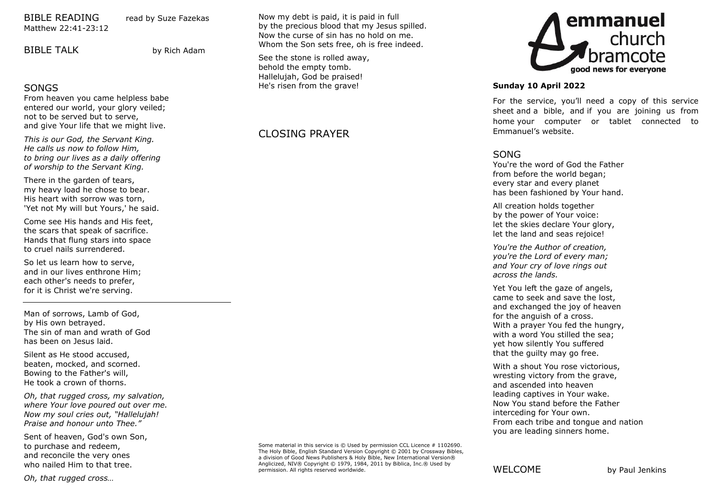BIBLE READING read by Suze Fazekas Matthew 22:41-23:12

BIBLE TALK by Rich Adam

### **SONGS**

From heaven you came helpless babe entered our world, your glory veiled; not to be served but to serve, and give Your life that we might live.

*This is our God, the Servant King. He calls us now to follow Him, to bring our lives as a daily offering of worship to the Servant King.*

There in the garden of tears, my heavy load he chose to bear. His heart with sorrow was torn, 'Yet not My will but Yours,' he said.

Come see His hands and His feet, the scars that speak of sacrifice. Hands that flung stars into space to cruel nails surrendered.

So let us learn how to serve, and in our lives enthrone Him; each other's needs to prefer, for it is Christ we're serving.

Man of sorrows, Lamb of God, by His own betrayed. The sin of man and wrath of God has been on Jesus laid.

Silent as He stood accused, beaten, mocked, and scorned. Bowing to the Father's will, He took a crown of thorns.

*Oh, that rugged cross, my salvation, where Your love poured out over me. Now my soul cries out, "Hallelujah! Praise and honour unto Thee."*

Sent of heaven, God's own Son, to purchase and redeem, and reconcile the very ones who nailed Him to that tree.

Now my debt is paid, it is paid in full by the precious blood that my Jesus spilled. Now the curse of sin has no hold on me. Whom the Son sets free, oh is free indeed.

See the stone is rolled away, behold the empty tomb. Hallelujah, God be praised! He's risen from the grave!

# CLOSING PRAYER



### **Sunday 10 April 2022**

For the service, you'll need a copy of this service sheet and a bible, and if you are joining us from home your computer or tablet connected to Emmanuel's website.

### SONG

You're the word of God the Father from before the world began; every star and every planet has been fashioned by Your hand.

All creation holds together by the power of Your voice: let the skies declare Your glory, let the land and seas rejoice!

*You're the Author of creation, you're the Lord of every man; and Your cry of love rings out across the lands.*

Yet You left the gaze of angels. came to seek and save the lost, and exchanged the joy of heaven for the anguish of a cross. With a prayer You fed the hungry, with a word You stilled the sea; yet how silently You suffered that the guilty may go free.

With a shout You rose victorious, wresting victory from the grave, and ascended into heaven leading captives in Your wake. Now You stand before the Father interceding for Your own. From each tribe and tongue and nation you are leading sinners home.

Some material in this service is © Used by permission CCL Licence # 1102690. The Holy Bible, English Standard Version Copyright © 2001 by Crossway Bibles, a division of Good News Publishers & Holy Bible, New International Version® Anglicized, NIV® Copyright © 1979, 1984, 2011 by Biblica, Inc.® Used by permission. All rights reserved worldwide.

WELCOME by Paul Jenkins